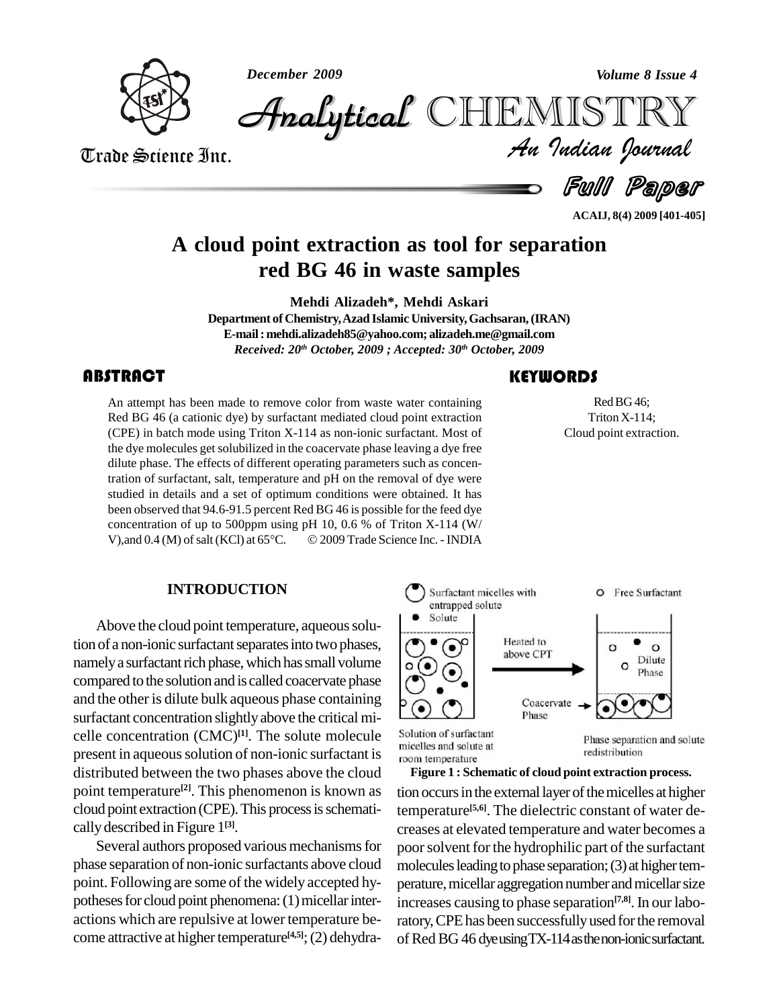*December 2009 Volume 8 Issue 4*



*Volume 8 Issue 4*<br>IISTRY<br>*Indian Iournal* **Analytical** CHIEMIST

Trade Science Inc. Trade Science Inc.

Full Paper

**ACAIJ, 8(4) 2009 [401-405]**

## **A cloud point extraction astool for separation red BG 46 in waste samples**

**Mehdi Alizadeh\*, Mehdi Askari**

**Department of Chemistry,Azad Islamic University,Gachsaran,(IRAN) E-mail:[mehdi.alizadeh85@yahoo.com;](mailto:mehdi.alizadeh85@yahoo.com;) [alizadeh.me@gmail.com](mailto:alizadeh.me@gmail.com)** *Received: 20 th October, 2009 ; Accepted: 30 th October, 2009*

## **ABSTRACT**

An attempt has been ma<br>Red BG 46 (a cationic d<br>(CPE) in batch mode usi An attempt has been made to remove color from waste water containing Red BG 46 (a cationic dye) by surfactant mediated cloud point extraction (CPE) in batch mode using Triton X-114 as non-ionic surfactant. Most of the dye molecules get solubilized in the coacervate phase leaving a dye free dilute phase. The effects of different operating parameters such as concentration of surfactant, salt, temperature and pH on the removal of dye were studied in details and a set of optimum conditions were obtained. It has been observed that 94.6-91.5 percent Red BG 46 is possible for the feed dye concentration of up to 500ppm using pH 10, 0.6 % of Triton X-114 (W/ been observed that 94.6-91.5 percent Red BG 46 is possible for the feed dye<br>concentration of up to 500ppm using pH 10, 0.6 % of Triton X-114 (W/<br>V),and 0.4 (M) of salt (KCl) at 65°C. © 2009 Trade Science Inc. - INDIA

## **KEYWORDS**

Red BG 46;<br>Triton X-114;<br>Cloud point extraction. RedBG46; Triton X-114;

## **INTRODUCTION**

Above the cloud point temperature, aqueous solution of a non-ionic surfactant separates into two phases, namely a surfactant rich phase, which has small volume compared tothe solution and is called coacervate phase and the other is dilute bulk aqueous phase containing surfactant concentration slightlyabove the critical mi celle concentration (CMC) **[1]**. The solute molecule present in aqueous solution of non-ionic surfactant is<br>micelles and solute at distributed between the two phases above the cloud point temperature<sup>[2]</sup>. This phenomenon is known as tion of cloud point extraction (CPE).This processisschemati callydescribed in Figure 1 **[3]**.

Several authors proposed various mechanisms for phase separation of non-ionic surfactants above cloud point. Following are some of the widely accepted hy potheses for cloud point phenomena: (1) micellar interactions which are repulsive at lower temperature be come attractive at higher temperature<sup>[4,5]</sup>; (2) dehydra-



redistribution

tion occurs in the external layer of the micelles at higher temperature **[5,6]**. The dielectric constant of water de creases at elevated temperature and water becomes a poor solvent for the hydrophilic part of the surfactant molecules leading to phase separation; (3) at higher temperature, micellar aggregation number and micellar size increases causing to phase separation **[7,8]**. In our laboratory, CPE has been successfully used for the removal of Red BG 46 dye using TX-114 as the non-ionic surfactant. **Figure 1 : Schematic of cloud point extraction process.**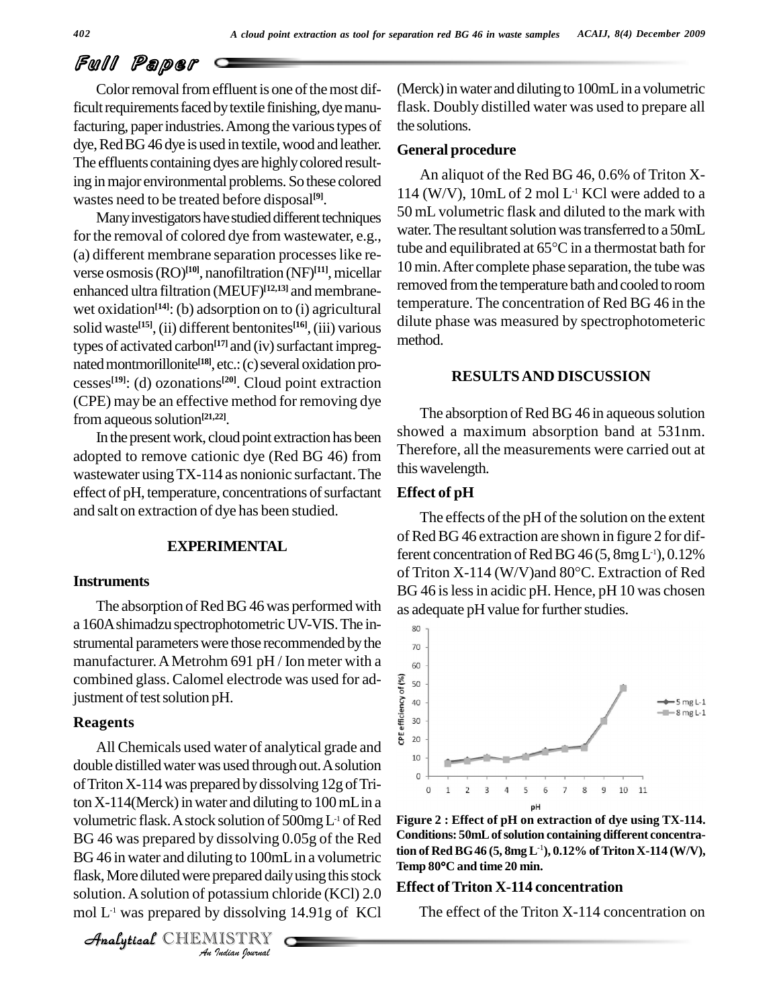# Full Paper

Color removal from effluent is one of the most difficult requirements faced by textile finishing, dye manufacturing, paper industries. Among the various types of dye, Red BG 46 dye is used in textile, wood and leather. The effluents containing dyes are highly colored resulting inmajor environmental problems. So these colored wastes need to be treated before disposal **[9]**.

Many investigators have studied different techniques for the removal of colored dye from wastewater, e.g., (a) different membrane separation processeslike re verse osmosis(RO) **[10]**, nanofiltration (NF) **[11]**,micellar enhanced ultra filtration (MEUF)<sup>[12,13]</sup> and membranewet oxidation<sup>[14]</sup>: (b) adsorption on to (i) agricultural solid waste **[15]**,(ii) different bentonites **[16]**,(iii) various types of activated carbon<sup>[17]</sup> and (iv) surfactant impregnated montmorillonite<sup>[18]</sup>, etc.: (c) several oxidation processes **[19]**: (d) ozonations **[20]**. Cloud point extraction (CPE) may be an effective method for removing dye from aqueous solution<sup>[21,22]</sup>.

In the present work, cloud point extraction has been adopted to remove cationic dye (Red BG 46) from wastewater using TX-114 as nonionic surfactant. The effect of pH, temperature, concentrations of surfactant and salt on extraction of dye has been studied.

## **EXPERIMENTAL**

#### **Instruments**

The absorption of Red BG 46 was performed with a 160A shimadzu spectrophotometric UV-VIS. The instrumental parameters were those recommended by the  $_{70}$ manufacturer.AMetrohm 691 pH / Ion meter with a combined glass. Calomel electrode was used for ad-<br>justment of test solution pH.<br>**Reagents** justment of test solution pH.

#### **Reagents**

**BG 46 was prepared by dissolving 0.05g of the Red** Condition *Ing to 100ml*<br>*prepared daily*<br>*Journal*<br>*ISTRY*<br>*<i>Indian hournal* BG 46 in water and diluting to 100mL in a volumetric tion of All Chemicals used water of analytical grade and  $\frac{8}{10}$ double distilled water was used through out. A solution of Triton  $X-114$  was prepared by dissolving  $12g$  of Triton  $X-114$ (Merck) in water and diluting to  $100$  mL in a volumetric flask. A stock solution of 500mg L<sup>1</sup> of Red Frame 80 $\degree$ C and time 20 min.<br>flask, More diluted were prepared daily using this stock solution.Asolution of potassium chloride (KCl) 2.0 mol  $L<sup>-1</sup>$  was prepared by dissolving 14.91g of KCl

CHEMISTRY COMMENT

 $(Merck)$  in water and diluting to  $100mL$  in a volumetric flask. Doubly distilled water was used to prepare all the solutions.

#### **General procedure**

An aliquot of the Red BG 46, 0.6% of Triton X- 114 (W/V),  $10mL$  of 2 mol L<sup>-1</sup> KCl were added to a 50 mL volumetric flask and diluted to the mark with water. The resultant solution was transferred to a 50mL tube and equilibrated at  $65^{\circ}$ C in a thermostat bath for 10 min.After complete phase separation, the tube was removed from the temperature bath and cooled to room temperature. The concentration of Red BG 46 in the dilute phase was measured by spectrophotometeric method.

### **RESULTSAND DISCUSSION**

The absorption of Red BG 46 in aqueous solution showed a maximum absorption band at 531nm. Therefore, all the measurements were carried out at thiswavelength.

#### **Effect of pH**

The effects of the pH of the solution on the extent of Red BG 46 extraction are shown in figure 2 for dif-<br>ferent concentration of Red BG 46 (5, 8mg L<sup>1</sup>), 0.12%<br>of Triton X-114 (W/V)and 80°C. Extraction of Red ferent concentration of Red BG  $46$  (5, 8mg L<sup>-1</sup>), 0.12% BG 46 is less in acidic pH. Hence, pH 10 was chosen as adequate pH value for further studies.



**Figure 2 : Effect of pH on extraction of dye using TX-114. Conditions: 50mLofsolution containing different concentration of RedBG46 (5, 8mgL** -1**), 0.12%ofTritonX-114 (W/V),** Conditions: 50mL of solution con<br>tion of Red BG 46 (5, 8mg L<sup>-1</sup>), 0.<br>Temp 80°C and time 20 min.

### **Effect ofTriton X-114 concentration**

The effect of the Triton X-114 concentration on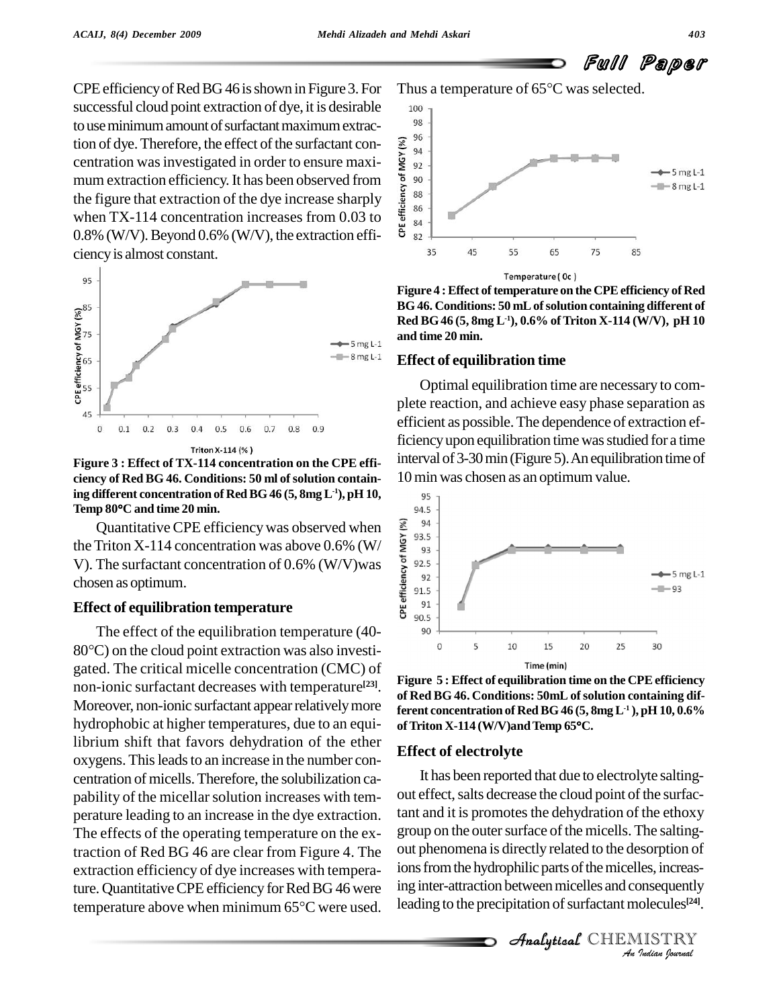Full Paper

CPEefficiencyofRedBG46 isshown in Figure 3. For successful cloud point extraction of dye, it is desirable  $\qquad$  100 to use minimum amount of surfactant maximum extraction of dye. Therefore, the effect of the surfactant concentration was investigated in order to ensure maxi-<br>
mum extraction efficiency. It has been observed from<br>
the figure that extraction of the dye increase sharply<br>
w centration was investigated in order to ensure maxi-  $\frac{6}{5}$  <sub>92</sub> mum extraction efficiency. It has been observed from  $\frac{5}{6}$  so<br>the figure that extraction of the due increase sharply the figure that extraction of the dye increase sharply  $\frac{5}{9}$   $\frac{88}{86}$ when TX-114 concentration increases from 0.03 to  $\frac{2}{3}$   $\frac{8}{84}$ 0.8% (W/V). Beyond 0.6% (W/V), the extraction effi-  $\frac{8}{3}$  sz ciencyis almost constant.



**Figure 3 : Effect of TX-114 concentration on the CPE effi ciency of Red BG 46. Conditions: 50 ml ofsolution containing different concentration of RedBG46 (5, 8mgL -1), pH 10, Temp <sup>80</sup><sup>C</sup> and time <sup>20</sup> min.**

Quantitative CPE efficiency was observed when<br>Triton X-114 concentration was above 0.6% (W/<br>The surfactant concentration of 0.6% (W/V)was<br>sen as optimum.<br>ect of equilibration temperature<br> $\frac{1}{2}$ <br>existing the surfactant the Triton X-114 concentration was above 0.6% (W/  $\frac{9}{2}$   $\frac{300}{93}$ V). The surfactant concentration of 0.6% (W/V)was  $\frac{8}{5}$  92.5 chosen as optimum.

#### **Effect of equilibration temperature**

The effect of the equilibration temperature (40- The effect of the equilibration temperature  $(40-80^{\circ}\text{C})$  on the cloud point extraction was also investigated. The critical micelle concentration (CMC) of non-ionic surfactant decreases with temperature<sup>[23]</sup>. Moreover, non-ionic surfactant appear relatively more hydrophobic at higher temperatures, due to an equi- of Triton X-114 (W/V) and Temp 65°C. librium shift that favors dehydration of the ether oxygens. This leads to an increase in the number concentration of micells.Therefore, the solubilization ca pability of the micellar solution increases with temperature leading to an increase in the dye extraction. The effects of the operating temperature on the extraction of Red BG 46 are clear from Figure 4.The extraction efficiency of dye increases with temperature. Quantitative CPE efficiency for Red BG 46 were ing int extraction efficiency of dye increases with tempera-<br>ture. Quantitative CPE efficiency for Red BG 46 were unit<br>temperature above when minimum 65°C were used.

Thus a temperature of  $65^{\circ}$ C was selected.



**Figure** 4 **:** Effect of temperature on the CPE efficiency of Red **BG46. Conditions: 50 mLofsolution containing different of Red BG46 (5, 8mg L -1),0.6% ofTriton X-114 (W/V), pH 10 and time 20 min.**

#### **Effect of equilibration time**

Optimal equilibration time are necessary to com plete reaction, and achieve easy phase separation as efficient as possible.The dependence of extraction efficiency upon equilibration time was studied for a time interval of 3-30min (Figure 5).Anequilibration time of 10 min was chosen as an optimum value.



**Figure 5 : Effect** of **equilibration time** on the CPE efficiency **of Red BG 46. Conditions: 50mL ofsolution containing different concentration of Red BG46 (5, 8mgL -1 ), pH 10, 0.6%** of Red BG 46. Conditions: 50mL of solutio<br>ferent concentration of Red BG 46 (5, 8mg )<br>of Triton X-114 (W/V)and Temp 65°C.

#### **Effect of electrolyte**

out phenomena is directly related to the desorption of<br>
ions from the hydrophilic parts of the micelles, increas-<br>
ing inter-attraction between micelles and consequently<br>
leading to the precipitation of surfactant molecule It has been reported that due to electrolyte saltingout effect, salts decrease the cloud point of the surfactant and it is promotes the dehydration of the ethoxy group on the outer surface of the micells. The saltingions from the hydrophilic parts of the micelles, increasing inter-attraction between micelles and consequently leading to the precipitation of surfactant molecules<sup>[24]</sup>.

 $\mathcal{A}$ nalytical  $\mathbb{CHEMISTRY}$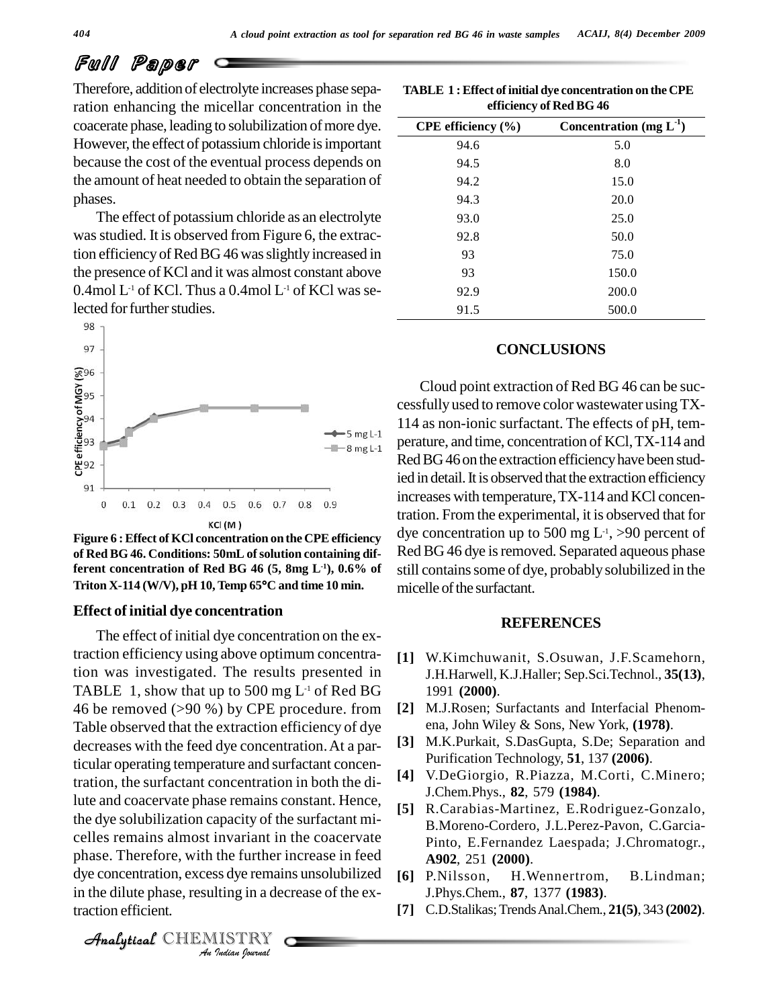## Full Paper

Therefore, addition of electrolyte increases phase separation enhancing the micellar concentration in the coacerate phase, leading to solubilization of more dye. However, the effect of potassium chloride is important because the cost of the eventual process depends on the amount of heat needed to obtain the separation of phases.

The effect of potassium chloride as an electrolyte was studied. It is observed from Figure 6, the extraction efficiency of Red BG 46 was slightly increased in the presence of KCl and it was almost constant above  $0.4$ mol L<sup>-1</sup> of KCl. Thus a  $0.4$ mol L<sup>-1</sup> of KCl was selected for further studies.



**Figure** 6 **: Effect** of **KCl** concentration on the CPE efficiency **of Red BG 46. Conditions: 50mL ofsolution containing different concentration of Red BG 46 (5, 8mg L** of Red BG 46. Conditions: 50mL of solution containing different concentration of Red BG 46 (5, 8mg L<sup>-1</sup>), 0.6% of<br>Triton X-114 (W/V), pH 10, Temp 65°C and time 10 min.

#### **Effect of initial dye concentration**

 $P_1$ <br>phase. Therefore, with the further increase in feed *Invariant in*<br>the further is<br>*Is dye* remain<br>*IISTRY* The effect of initial dye concentration on the extraction efficiency using above optimum concentration was investigated. The results presented in TABLE 1, show that up to 500 mg  $L<sup>-1</sup>$  of Red BG 46 be removed (>90 %) by CPE procedure. from Table observed that the extraction efficiency of dye decreases with the feed dye concentration.At a particular operating temperature and surfactant concentration, the surfactant concentration in both the dilute and coacervate phase remains constant. Hence, the dye solubilization capacity of the surfactant mi celles remains almost invariant in the coacervate dye concentration, excess dye remains unsolubilized in the dilute phase, resulting in a decrease of the extraction efficient.

| efficiency of Red BG 46 |                              |
|-------------------------|------------------------------|
| CPE efficiency $(\% )$  | Concentration (mg $L^{-1}$ ) |
| 94.6                    | 5.0                          |
| 94.5                    | 8.0                          |
| 94.2                    | 15.0                         |
| 94.3                    | 20.0                         |
| 93.0                    | 25.0                         |
| 92.8                    | 50.0                         |
| 93                      | 75.0                         |
| 93                      | 150.0                        |

# **TABLE 1 :Effect ofinitial dye concentration on the CPE**

### **CONCLUSIONS**

92.9 200.0 91.5 500.0

Cloud point extraction of Red BG 46 can be suc cessfully used to remove color wastewater usingTX- 114 as non-ionic surfactant. The effects of pH, tem perature, and time, concentration of KCl,TX-114 and Red BG46 on the extraction efficiency have been studied in detail. It is observed that the extraction efficiency increases with temperature,TX-114 and KCl concentration. From the experimental, it is observed that for dye concentration up to 500 mg  $L<sup>-1</sup>$ , >90 percent of Red BG 46 dye is removed. Separated aqueous phase still containssome of dye, probablysolubilized in the **-1), 0.6% of** micelle of the surfactant.

#### **REFERENCES**

- **[1]** W.Kimchuwanit, S.Osuwan, J.F.Scamehorn, J.H.Harwell, K.J.Haller; Sep.Sci.Technol., **35(13)**, 1991 **(2000)**.
- **[2]** M.J.Rosen; Surfactants and Interfacial Phenom ena, John Wiley & Sons, New York, **(1978)**.
- **[3]** M.K.Purkait, S.DasGupta, S.De; Separation and Purification Technology, **51**, 137 **(2006)**.
- **[4]** V.DeGiorgio, R.Piazza, M.Corti, C.Minero; J.Chem.Phys., **82**, 579 **(1984)**.
- **[5]** R.Carabias-Martinez, E.Rodriguez-Gonzalo, B.Moreno-Cordero, J.L.Perez-Pavon, C.Garcia- Pinto, E.Fernandez Laespada; J.Chromatogr., **A902**, 251 **(2000)**.
- **[6]** P.Nilsson, H.Wennertrom, B.Lindman; J.Phys.Chem., **87**, 1377 **(1983)**.
- **[7]** C.D.Stalikas;TrendsAnal.Chem., **21(5)**, 343 **(2002)**.

CHEMISTRY COMMENT